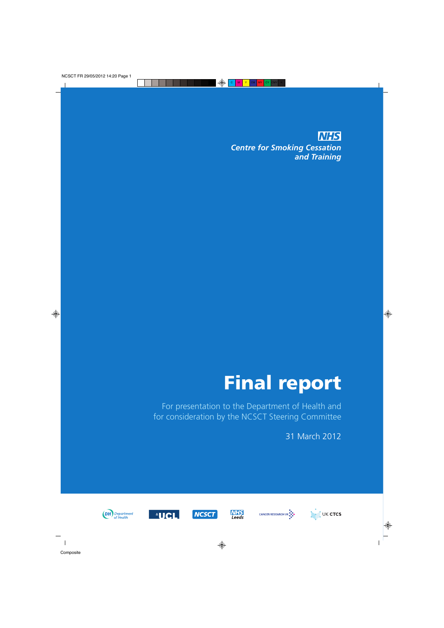**NHS** *Centre for Smoking Cessation and Training*

# **Final report**

For presentation to the Department of Health and for consideration by the NCSCT Steering Committee

31 March 2012













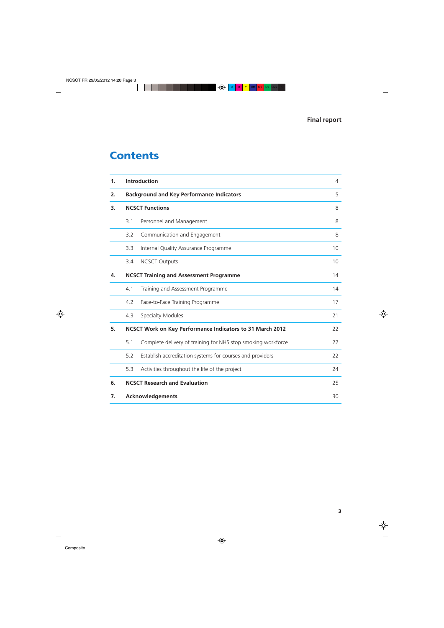# **Contents**

| 1. | <b>Introduction</b>                                       |                                                              |    |
|----|-----------------------------------------------------------|--------------------------------------------------------------|----|
| 2. | <b>Background and Key Performance Indicators</b>          | 5                                                            |    |
| 3. | <b>NCSCT Functions</b>                                    |                                                              | 8  |
|    | 3.1                                                       | Personnel and Management                                     | 8  |
|    | 3.2                                                       | Communication and Engagement                                 | 8  |
|    | 3.3                                                       | Internal Quality Assurance Programme                         | 10 |
|    | 3.4                                                       | <b>NCSCT Outputs</b>                                         | 10 |
| 4. | <b>NCSCT Training and Assessment Programme</b>            |                                                              |    |
|    | 4.1                                                       | Training and Assessment Programme                            | 14 |
|    | 4.2                                                       | Face-to-Face Training Programme                              | 17 |
|    | 4.3                                                       | <b>Specialty Modules</b>                                     | 21 |
| 5. | NCSCT Work on Key Performance Indicators to 31 March 2012 |                                                              |    |
|    | 5.1                                                       | Complete delivery of training for NHS stop smoking workforce | 22 |
|    | 5.2                                                       | Establish accreditation systems for courses and providers    | 22 |
|    | 5.3                                                       | Activities throughout the life of the project                | 24 |
| 6. |                                                           | <b>NCSCT Research and Evaluation</b>                         | 25 |
| 7. |                                                           | <b>Acknowledgements</b>                                      | 30 |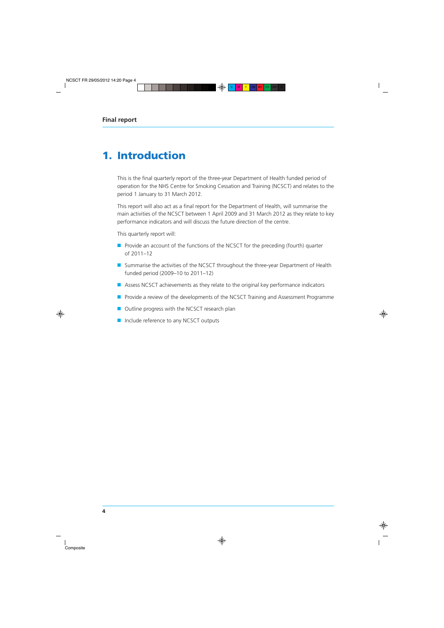# **1. Introduction**

This is the final quarterly report of the three-year Department of Health funded period of operation for the NHS Centre for Smoking Cessation and Training (NCSCT) and relates to the period 1 January to 31 March 2012.

This report will also act as a final report for the Department of Health, will summarise the main activities of the NCSCT between 1 April 2009 and 31 March 2012 as they relate to key performance indicators and will discuss the future direction of the centre.

This quarterly report will:

- Provide an account of the functions of the NCSCT for the preceding (fourth) quarter of 2011–12
- Summarise the activities of the NCSCT throughout the three-year Department of Health funded period (2009–10 to 2011–12)
- Assess NCSCT achievements as they relate to the original key performance indicators
- Provide a review of the developments of the NCSCT Training and Assessment Programme
- Outline progress with the NCSCT research plan
- Include reference to any NCSCT outputs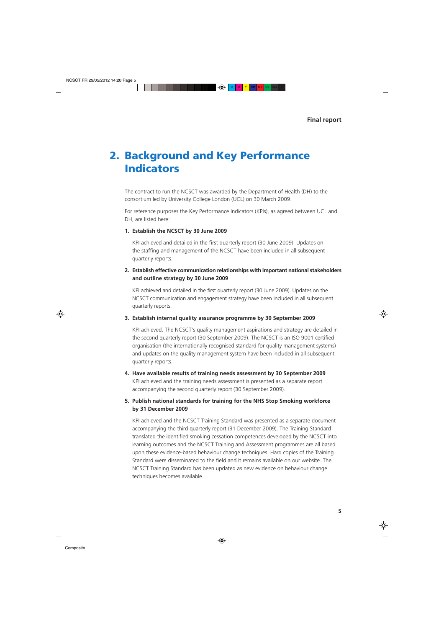# **2. Background and Key Performance Indicators**

The contract to run the NCSCT was awarded by the Department of Health (DH) to the consortium led by University College London (UCL) on 30 March 2009.

For reference purposes the Key Performance Indicators (KPIs), as agreed between UCL and DH, are listed here:

#### **1. Establish the NCSCT by 30 June 2009**

KPI achieved and detailed in the first quarterly report (30 June 2009). Updates on the staffing and management of the NCSCT have been included in all subsequent quarterly reports.

### **2. Establish effective communication relationships with important national stakeholders and outline strategy by 30 June 2009**

KPI achieved and detailed in the first quarterly report (30 June 2009). Updates on the NCSCT communication and engagement strategy have been included in all subsequent quarterly reports.

#### **3. Establish internal quality assurance programme by 30 September 2009**

KPI achieved. The NCSCT's quality management aspirations and strategy are detailed in the second quarterly report (30 September 2009). The NCSCT is an ISO 9001 certified organisation (the internationally recognised standard for quality management systems) and updates on the quality management system have been included in all subsequent quarterly reports.

# **4. Have available results of training needs assessment by 30 September 2009** KPI achieved and the training needs assessment is presented as a separate report accompanying the second quarterly report (30 September 2009).

### **5. Publish national standards for training for the NHS Stop Smoking workforce by 31 December 2009**

KPI achieved and the NCSCT Training Standard was presented as a separate document accompanying the third quarterly report (31 December 2009). The Training Standard translated the identified smoking cessation competences developed by the NCSCT into learning outcomes and the NCSCT Training and Assessment programmes are all based upon these evidence-based behaviour change techniques. Hard copies of the Training Standard were disseminated to the field and it remains available on our website. The NCSCT Training Standard has been updated as new evidence on behaviour change techniques becomes available.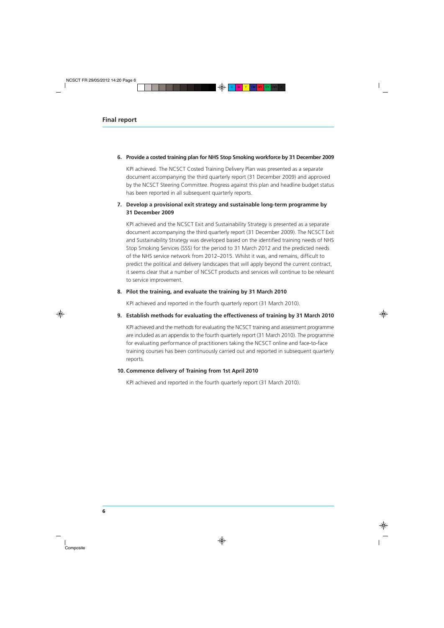#### **6. Provide a costed training plan for NHS Stop Smoking workforce by 31 December 2009**

KPI achieved. The NCSCT Costed Training Delivery Plan was presented as a separate document accompanying the third quarterly report (31 December 2009) and approved by the NCSCT Steering Committee. Progress against this plan and headline budget status has been reported in all subsequent quarterly reports.

### **7. Develop a provisional exit strategy and sustainable long-term programme by 31 December 2009**

KPI achieved and the NCSCT Exit and Sustainability Strategy is presented as a separate document accompanying the third quarterly report (31 December 2009). The NCSCT Exit and Sustainability Strategy was developed based on the identified training needs of NHS Stop Smoking Services (SSS) for the period to 31 March 2012 and the predicted needs of the NHS service network from 2012–2015. Whilst it was, and remains, difficult to predict the political and delivery landscapes that will apply beyond the current contract, it seems clear that a number of NCSCT products and services will continue to be relevant to service improvement.

#### **8. Pilot the training, and evaluate the training by 31 March 2010**

KPI achieved and reported in the fourth quarterly report (31 March 2010).

#### **9. Establish methods for evaluating the effectiveness of training by 31 March 2010**

KPI achieved and the methods for evaluating the NCSCT training and assessment programme are included as an appendix to the fourth quarterly report (31 March 2010). The programme for evaluating performance of practitioners taking the NCSCT online and face-to-face training courses has been continuously carried out and reported in subsequent quarterly reports.

#### **10. Commence delivery of Training from 1st April 2010**

KPI achieved and reported in the fourth quarterly report (31 March 2010).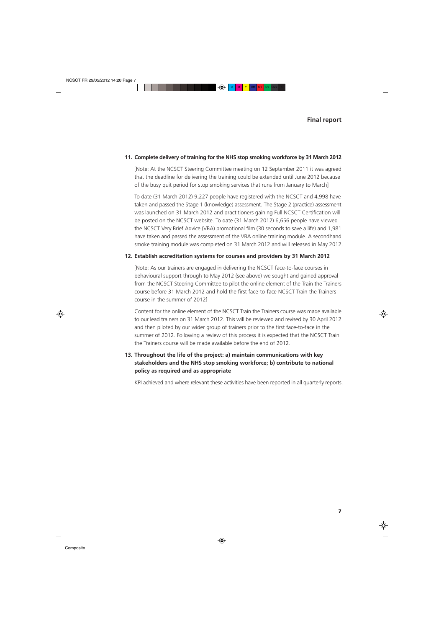#### **11. Complete delivery of training for the NHS stop smoking workforce by 31 March 2012**

[Note: At the NCSCT Steering Committee meeting on 12 September 2011 it was agreed that the deadline for delivering the training could be extended until June 2012 because of the busy quit period for stop smoking services that runs from January to March]

To date (31 March 2012) 9,227 people have registered with the NCSCT and 4,998 have taken and passed the Stage 1 (knowledge) assessment. The Stage 2 (practice) assessment was launched on 31 March 2012 and practitioners gaining Full NCSCT Certification will be posted on the NCSCT website. To date (31 March 2012) 6,656 people have viewed the NCSCT Very Brief Advice (VBA) promotional film (30 seconds to save a life) and 1,981 have taken and passed the assessment of the VBA online training module. A secondhand smoke training module was completed on 31 March 2012 and will released in May 2012.

#### **12. Establish accreditation systems for courses and providers by 31 March 2012**

[Note: As our trainers are engaged in delivering the NCSCT face-to-face courses in behavioural support through to May 2012 (see above) we sought and gained approval from the NCSCT Steering Committee to pilot the online element of the Train the Trainers course before 31 March 2012 and hold the first face-to-face NCSCT Train the Trainers course in the summer of 2012]

Content for the online element of the NCSCT Train the Trainers course was made available to our lead trainers on 31 March 2012. This will be reviewed and revised by 30 April 2012 and then piloted by our wider group of trainers prior to the first face-to-face in the summer of 2012. Following a review of this process it is expected that the NCSCT Train the Trainers course will be made available before the end of 2012.

# **13. Throughout the life of the project: a) maintain communications with key stakeholders and the NHS stop smoking workforce; b) contribute to national policy as required and as appropriate**

KPI achieved and where relevant these activities have been reported in all quarterly reports.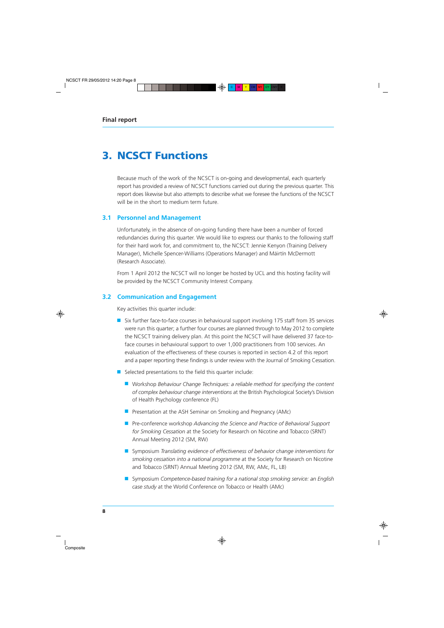# **3. NCSCT Functions**

Because much of the work of the NCSCT is on-going and developmental, each quarterly report has provided a review of NCSCT functions carried out during the previous quarter. This report does likewise but also attempts to describe what we foresee the functions of the NCSCT will be in the short to medium term future.

#### **3.1 Personnel and Management**

Unfortunately, in the absence of on-going funding there have been a number of forced redundancies during this quarter. We would like to express our thanks to the following staff for their hard work for, and commitment to, the NCSCT: Jennie Kenyon (Training Delivery Manager), Michelle Spencer-Williams (Operations Manager) and Máirtín McDermott (Research Associate).

From 1 April 2012 the NCSCT will no longer be hosted by UCL and this hosting facility will be provided by the NCSCT Community Interest Company.

#### **3.2 Communication and Engagement**

Key activities this quarter include:

- Six further face-to-face courses in behavioural support involving 175 staff from 35 services were run this quarter; a further four courses are planned through to May 2012 to complete the NCSCT training delivery plan. At this point the NCSCT will have delivered 37 face-toface courses in behavioural support to over 1,000 practitioners from 100 services. An evaluation of the effectiveness of these courses is reported in section 4.2 of this report and a paper reporting these findings is under review with the Journal of Smoking Cessation.
- Selected presentations to the field this quarter include:
	- Workshop *Behaviour Change Techniques: a reliable method for specifying the content of complex behaviour change interventions* at the British Psychological Society's Division of Health Psychology conference (FL)
	- Presentation at the ASH Seminar on Smoking and Pregnancy (AMc)
	- Pre-conference workshop *Advancing the Science and Practice of Behavioral Support for Smoking Cessation* at the Society for Research on Nicotine and Tobacco (SRNT) Annual Meeting 2012 (SM, RW)
	- Symposium *Translating evidence of effectiveness of behavior change interventions for smoking cessation into a national programme* at the Society for Research on Nicotine and Tobacco (SRNT) Annual Meeting 2012 (SM, RW, AMc, FL, LB)
	- Symposium *Competence-based training for a national stop smoking service: an English case study* at the World Conference on Tobacco or Health (AMc)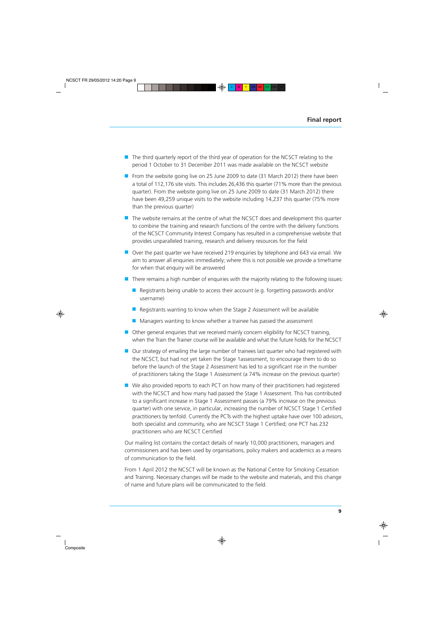- The third quarterly report of the third year of operation for the NCSCT relating to the period 1 October to 31 December 2011 was made available on the NCSCT website
- From the website going live on 25 June 2009 to date (31 March 2012) there have been a total of 112,176 site visits. This includes 26,436 this quarter (71% more than the previous quarter). From the website going live on 25 June 2009 to date (31 March 2012) there have been 49,259 unique visits to the website including 14,237 this quarter (75% more than the previous quarter)
- The website remains at the centre of what the NCSCT does and development this quarter to combine the training and research functions of the centre with the delivery functions of the NCSCT Community Interest Company has resulted in a comprehensive website that provides unparalleled training, research and delivery resources for the field
- Over the past quarter we have received 219 enquiries by telephone and 643 via email. We aim to answer all enquiries immediately; where this is not possible we provide a timeframe for when that enquiry will be answered
- There remains a high number of enquiries with the majority relating to the following issues:
	- Registrants being unable to access their account (e.g. forgetting passwords and/or username)
	- Registrants wanting to know when the Stage 2 Assessment will be available
	- Managers wanting to know whether a trainee has passed the assessment
- Other general enquiries that we received mainly concern eligibility for NCSCT training, when the Train the Trainer course will be available and what the future holds for the NCSCT
- Our strategy of emailing the large number of trainees last quarter who had registered with the NCSCT, but had not yet taken the Stage 1assessment, to encourage them to do so before the launch of the Stage 2 Assessment has led to a significant rise in the number of practitioners taking the Stage 1 Assessment (a 74% increase on the previous quarter)
- We also provided reports to each PCT on how many of their practitioners had registered with the NCSCT and how many had passed the Stage 1 Assessment. This has contributed to a significant increase in Stage 1 Assessment passes (a 79% increase on the previous quarter) with one service, in particular, increasing the number of NCSCT Stage 1 Certified practitioners by tenfold. Currently the PCTs with the highest uptake have over 100 advisors, both specialist and community, who are NCSCT Stage 1 Certified; one PCT has 232 practitioners who are NCSCT Certified

Our mailing list contains the contact details of nearly 10,000 practitioners, managers and commissioners and has been used by organisations, policy makers and academics as a means of communication to the field.

From 1 April 2012 the NCSCT will be known as the National Centre for Smoking Cessation and Training. Necessary changes will be made to the website and materials, and this change of name and future plans will be communicated to the field.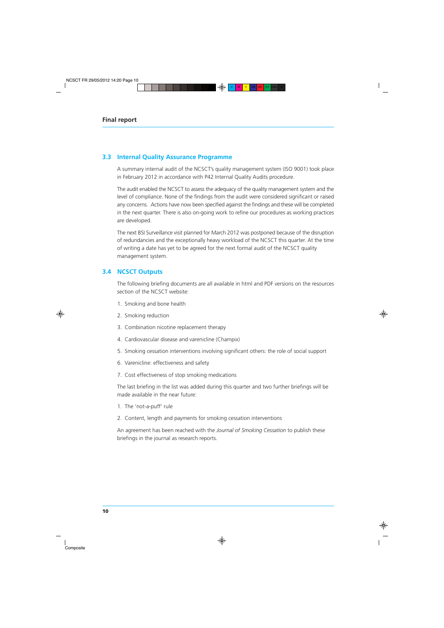### **3.3 Internal Quality Assurance Programme**

A summary internal audit of the NCSCT's quality management system (ISO 9001) took place in February 2012 in accordance with P42 Internal Quality Audits procedure.

The audit enabled the NCSCT to assess the adequacy of the quality management system and the level of compliance. None of the findings from the audit were considered significant or raised any concerns. Actions have now been specified against the findings and these will be completed in the next quarter. There is also on-going work to refine our procedures as working practices are developed.

The next BSI Surveillance visit planned for March 2012 was postponed because of the disruption of redundancies and the exceptionally heavy workload of the NCSCT this quarter. At the time of writing a date has yet to be agreed for the next formal audit of the NCSCT quality management system.

### **3.4 NCSCT Outputs**

The following briefing documents are all available in html and PDF versions on the resources section of the NCSCT website:

- 1. Smoking and bone health
- 2. Smoking reduction
- 3. Combination nicotine replacement therapy
- 4. Cardiovascular disease and varenicline (Champix)
- 5. Smoking cessation interventions involving significant others: the role of social support
- 6. Varenicline: effectiveness and safety
- 7. Cost effectiveness of stop smoking medications

The last briefing in the list was added during this quarter and two further briefings will be made available in the near future:

- 1. The 'not-a-puff' rule
- 2. Content, length and payments for smoking cessation interventions

An agreement has been reached with the *Journal of Smoking Cessation* to publish these briefings in the journal as research reports.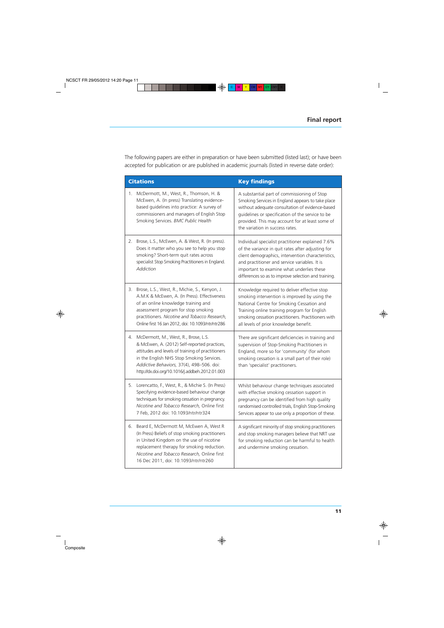The following papers are either in preparation or have been submitted (listed last); or have been accepted for publication or are published in academic journals (listed in reverse date order):

|    | <b>Citations</b>                                                                                                                                                                                                                                                                      | <b>Key findings</b>                                                                                                                                                                                                                                                                                                |
|----|---------------------------------------------------------------------------------------------------------------------------------------------------------------------------------------------------------------------------------------------------------------------------------------|--------------------------------------------------------------------------------------------------------------------------------------------------------------------------------------------------------------------------------------------------------------------------------------------------------------------|
| 1. | McDermott, M., West, R., Thomson, H. &<br>McEwen, A. (In press) Translating evidence-<br>based guidelines into practice: A survey of<br>commissioners and managers of English Stop<br>Smoking Services. BMC Public Health                                                             | A substantial part of commissioning of Stop<br>Smoking Services in England appears to take place<br>without adequate consultation of evidence-based<br>guidelines or specification of the service to be<br>provided. This may account for at least some of<br>the variation in success rates.                      |
| 2. | Brose, L.S., McEwen, A. & West, R. (In press).<br>Does it matter who you see to help you stop<br>smoking? Short-term quit rates across<br>specialist Stop Smoking Practitioners in England.<br><b>Addiction</b>                                                                       | Individual specialist practitioner explained 7.6%<br>of the variance in quit rates after adjusting for<br>client demographics, intervention characteristics,<br>and practitioner and service variables. It is<br>important to examine what underlies these<br>differences so as to improve selection and training. |
| 3. | Brose, L.S., West, R., Michie, S., Kenyon, J.<br>A.M.K & McEwen, A. (In Press). Effectiveness<br>of an online knowledge training and<br>assessment program for stop smoking<br>practitioners. Nicotine and Tobacco Research,<br>Online first 16 Jan 2012, doi: 10.1093/ntr/ntr286     | Knowledge required to deliver effective stop<br>smoking intervention is improved by using the<br>National Centre for Smoking Cessation and<br>Training online training program for English<br>smoking cessation practitioners. Practitioners with<br>all levels of prior knowledge benefit.                        |
| 4. | McDermott, M., West, R., Brose, L.S.<br>& McEwen, A. (2012) Self-reported practices,<br>attitudes and levels of training of practitioners<br>in the English NHS Stop Smoking Services.<br>Addictive Behaviors, 37(4), 498-506. doi:<br>http://dx.doi.org/10.1016/j.addbeh.2012.01.003 | There are significant deficiencies in training and<br>supervision of Stop-Smoking Practitioners in<br>England, more so for 'community' (for whom<br>smoking cessation is a small part of their role)<br>than 'specialist' practitioners.                                                                           |
| 5. | Lorencatto, F., West, R., & Michie S. (In Press)<br>Specifying evidence-based behaviour change<br>techniques for smoking cessation in pregnancy.<br>Nicotine and Tobacco Research, Online first<br>7 Feb, 2012 doi: 10.1093/ntr/ntr324                                                | Whilst behaviour change techniques associated<br>with effective smoking cessation support in<br>pregnancy can be identified from high quality<br>randomised controlled trials, English Stop-Smoking<br>Services appear to use only a proportion of these.                                                          |
| 6. | Beard E, McDermott M, McEwen A, West R<br>(In Press) Beliefs of stop smoking practitioners<br>in United Kingdom on the use of nicotine<br>replacement therapy for smoking reduction.<br>Nicotine and Tobacco Research, Online first<br>16 Dec 2011, doi: 10.1093/ntr/ntr260           | A significant minority of stop smoking practitioners<br>and stop smoking managers believe that NRT use<br>for smoking reduction can be harmful to health<br>and undermine smoking cessation.                                                                                                                       |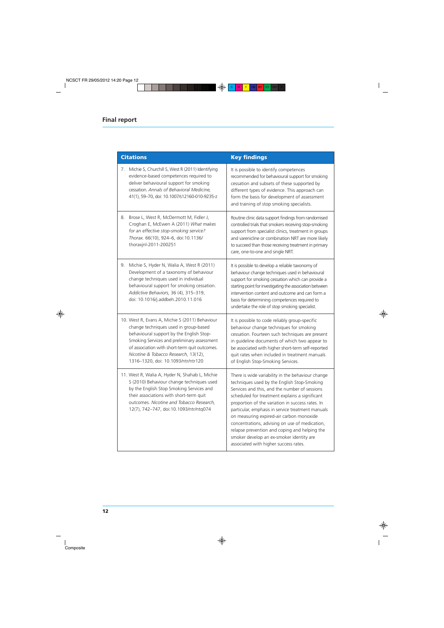| <b>Citations</b>                                                                                                                                                                                                                                                         | <b>Key findings</b>                                                                                                                                                                                                                                                                                                                                                                                                                                                                                                                              |  |  |
|--------------------------------------------------------------------------------------------------------------------------------------------------------------------------------------------------------------------------------------------------------------------------|--------------------------------------------------------------------------------------------------------------------------------------------------------------------------------------------------------------------------------------------------------------------------------------------------------------------------------------------------------------------------------------------------------------------------------------------------------------------------------------------------------------------------------------------------|--|--|
| Michie S, Churchill S, West R (2011) Identifying                                                                                                                                                                                                                         | It is possible to identify competences                                                                                                                                                                                                                                                                                                                                                                                                                                                                                                           |  |  |
| 7.                                                                                                                                                                                                                                                                       | recommended for behavioural support for smoking                                                                                                                                                                                                                                                                                                                                                                                                                                                                                                  |  |  |
| evidence-based competences required to                                                                                                                                                                                                                                   | cessation and subsets of these supported by                                                                                                                                                                                                                                                                                                                                                                                                                                                                                                      |  |  |
| deliver behavioural support for smoking                                                                                                                                                                                                                                  | different types of evidence. This approach can                                                                                                                                                                                                                                                                                                                                                                                                                                                                                                   |  |  |
| cessation. Annals of Behavioral Medicine,                                                                                                                                                                                                                                | form the basis for development of assessment                                                                                                                                                                                                                                                                                                                                                                                                                                                                                                     |  |  |
| 41(1), 59-70, doi: 10.1007/s12160-010-9235-z                                                                                                                                                                                                                             | and training of stop smoking specialists.                                                                                                                                                                                                                                                                                                                                                                                                                                                                                                        |  |  |
| Brose L, West R, McDermott M, Fidler J,                                                                                                                                                                                                                                  | Routine clinic data support findings from randomised                                                                                                                                                                                                                                                                                                                                                                                                                                                                                             |  |  |
| 8.                                                                                                                                                                                                                                                                       | controlled trials that smokers receiving stop-smoking                                                                                                                                                                                                                                                                                                                                                                                                                                                                                            |  |  |
| Croghan E, McEwen A (2011) What makes                                                                                                                                                                                                                                    | support from specialist clinics, treatment in groups                                                                                                                                                                                                                                                                                                                                                                                                                                                                                             |  |  |
| for an effective stop-smoking service?                                                                                                                                                                                                                                   | and varenicline or combination NRT are more likely                                                                                                                                                                                                                                                                                                                                                                                                                                                                                               |  |  |
| Thorax. 66(10), 924-6, doi:10.1136/                                                                                                                                                                                                                                      | to succeed than those receiving treatment in primary                                                                                                                                                                                                                                                                                                                                                                                                                                                                                             |  |  |
| thoraxjnl-2011-200251                                                                                                                                                                                                                                                    | care, one-to-one and single NRT.                                                                                                                                                                                                                                                                                                                                                                                                                                                                                                                 |  |  |
| Michie S, Hyder N, Walia A, West R (2011)                                                                                                                                                                                                                                | It is possible to develop a reliable taxonomy of                                                                                                                                                                                                                                                                                                                                                                                                                                                                                                 |  |  |
| 9.                                                                                                                                                                                                                                                                       | behaviour change techniques used in behavioural                                                                                                                                                                                                                                                                                                                                                                                                                                                                                                  |  |  |
| Development of a taxonomy of behaviour                                                                                                                                                                                                                                   | support for smoking cessation which can provide a                                                                                                                                                                                                                                                                                                                                                                                                                                                                                                |  |  |
| change techniques used in individual                                                                                                                                                                                                                                     | starting point for investigating the association between                                                                                                                                                                                                                                                                                                                                                                                                                                                                                         |  |  |
| behavioural support for smoking cessation.                                                                                                                                                                                                                               | intervention content and outcome and can form a                                                                                                                                                                                                                                                                                                                                                                                                                                                                                                  |  |  |
| Addictive Behaviors, 36 (4), 315-319,                                                                                                                                                                                                                                    | basis for determining competences required to                                                                                                                                                                                                                                                                                                                                                                                                                                                                                                    |  |  |
| doi: 10.1016/j.addbeh.2010.11.016                                                                                                                                                                                                                                        | undertake the role of stop smoking specialist.                                                                                                                                                                                                                                                                                                                                                                                                                                                                                                   |  |  |
| 10. West R, Evans A, Michie S (2011) Behaviour                                                                                                                                                                                                                           | It is possible to code reliably group-specific                                                                                                                                                                                                                                                                                                                                                                                                                                                                                                   |  |  |
| change techniques used in group-based                                                                                                                                                                                                                                    | behaviour change techniques for smoking                                                                                                                                                                                                                                                                                                                                                                                                                                                                                                          |  |  |
| behavioural support by the English Stop-                                                                                                                                                                                                                                 | cessation. Fourteen such techniques are present                                                                                                                                                                                                                                                                                                                                                                                                                                                                                                  |  |  |
| Smoking Services and preliminary assessment                                                                                                                                                                                                                              | in guideline documents of which two appear to                                                                                                                                                                                                                                                                                                                                                                                                                                                                                                    |  |  |
| of association with short-term quit outcomes.                                                                                                                                                                                                                            | be associated with higher short-term self-reported                                                                                                                                                                                                                                                                                                                                                                                                                                                                                               |  |  |
| Nicotine & Tobacco Research, 13(12),                                                                                                                                                                                                                                     | quit rates when included in treatment manuals                                                                                                                                                                                                                                                                                                                                                                                                                                                                                                    |  |  |
| 1316-1320, doi: 10.1093/ntr/ntr120                                                                                                                                                                                                                                       | of English Stop-Smoking Services.                                                                                                                                                                                                                                                                                                                                                                                                                                                                                                                |  |  |
| 11. West R, Walia A, Hyder N, Shahab L, Michie<br>S (2010) Behaviour change techniques used<br>by the English Stop Smoking Services and<br>their associations with short-term quit<br>outcomes. Nicotine and Tobacco Research,<br>12(7), 742-747, doi:10.1093/ntr/ntq074 | There is wide variability in the behaviour change<br>techniques used by the English Stop-Smoking<br>Services and this, and the number of sessions<br>scheduled for treatment explains a significant<br>proportion of the variation in success rates. In<br>particular, emphasis in service treatment manuals<br>on measuring expired-air carbon monoxide<br>concentrations, advising on use of medication,<br>relapse prevention and coping and helping the<br>smoker develop an ex-smoker identity are<br>associated with higher success rates. |  |  |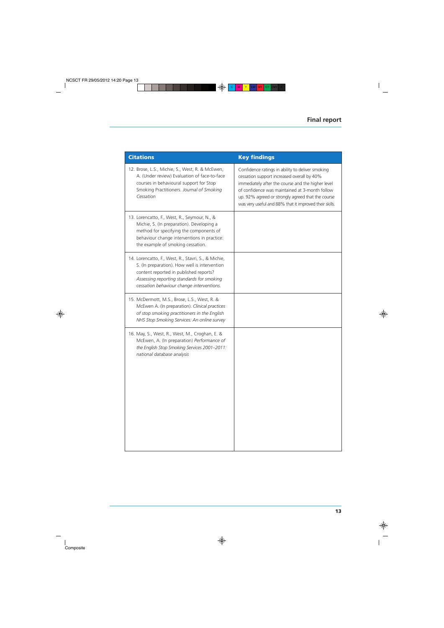| <b>Citations</b>                                                                                                                                                                                                                         | <b>Key findings</b>                                                                                                                                                                                                                                                                                                  |
|------------------------------------------------------------------------------------------------------------------------------------------------------------------------------------------------------------------------------------------|----------------------------------------------------------------------------------------------------------------------------------------------------------------------------------------------------------------------------------------------------------------------------------------------------------------------|
| 12. Brose, L.S., Michie, S., West, R. & McEwen,<br>A. (Under review) Evaluation of face-to-face<br>courses in behavioural support for Stop<br>Smoking Practitioners. Journal of Smoking<br>Cessation                                     | Confidence ratings in ability to deliver smoking<br>cessation support increased overall by 40%<br>immediately after the course and the higher level<br>of confidence was maintained at 3-month follow<br>up. 92% agreed or strongly agreed that the course<br>was very useful and 88% that it improved their skills. |
| 13. Lorencatto, F., West, R., Seymour, N., &<br>Michie, S. (In preparation). Developing a<br>method for specifying the components of<br>behaviour change interventions in practice:<br>the example of smoking cessation.                 |                                                                                                                                                                                                                                                                                                                      |
| 14. Lorencatto, F., West, R., Stavri, S., & Michie,<br>S. (In preparation). How well is intervention<br>content reported in published reports?<br>Assessing reporting standards for smoking<br>cessation behaviour change interventions. |                                                                                                                                                                                                                                                                                                                      |
| 15. McDermott, M.S., Brose, L.S., West, R. &<br>McEwen A. (In preparation). Clinical practices<br>of stop smoking practitioners in the English<br>NHS Stop Smoking Services: An online survey                                            |                                                                                                                                                                                                                                                                                                                      |
| 16. May, S., West, R., West, M., Croghan, E. &<br>McEwen, A. (In preparation) Performance of<br>the English Stop Smoking Services 2001-2011:<br>national database analysis                                                               |                                                                                                                                                                                                                                                                                                                      |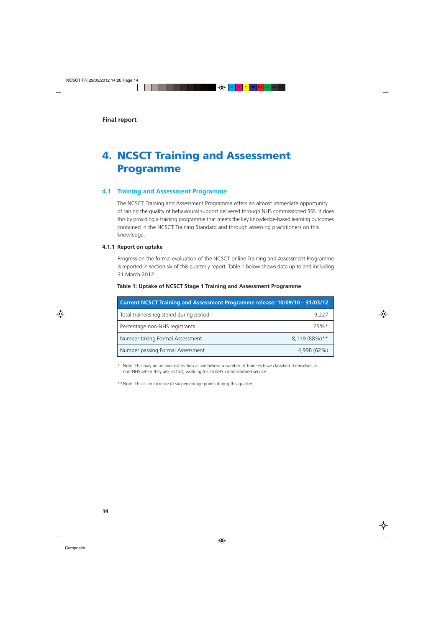# **4. NCSCT Training and Assessment Programme**

# **4.1 Training and Assessment Programme**

The NCSCT Training and Assessment Programme offers an almost immediate opportunity of raising the quality of behavioural support delivered through NHS commissioned SSS. It does this by providing a training programme that meets the key knowledge-based learning outcomes contained in the NCSCT Training Standard and through assessing practitioners on this knowledge.

#### **4.1.1 Report on uptake**

Progress on the formal evaluation of the NCSCT online Training and Assessment Programme is reported in section six of this quarterly report. Table 1 below shows data up to and including 31 March 2012.

| Current NCSCT Training and Assessment Programme release: 10/09/10 - 31/03/12 |               |  |  |  |
|------------------------------------------------------------------------------|---------------|--|--|--|
| Total trainees registered during period                                      | 9,227         |  |  |  |
| Percentage non-NHS registrants                                               | $25%$ *       |  |  |  |
| Number taking Formal Assessment                                              | 8,119 (88%)** |  |  |  |
| Number passing Formal Assessment                                             | 4,998 (62%)   |  |  |  |

#### **Table 1: Uptake of NCSCT Stage 1 Training and Assessment Programme**

\* Note: This may be an over-estimation as we believe a number of trainees have classified themselves as non-NHS when they are, in fact, working for an NHS commissioned service

\*\* Note: This is an increase of six percentage points during this quarter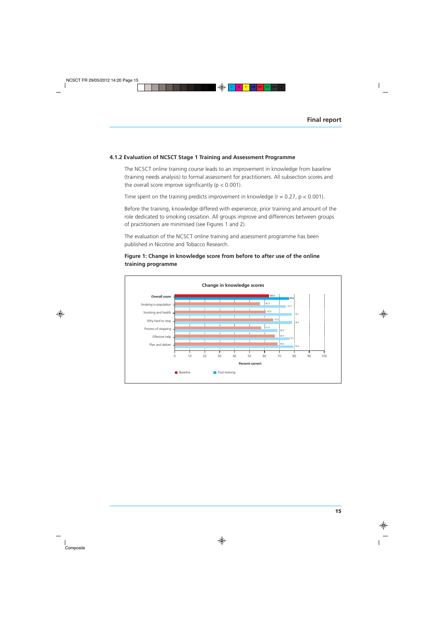#### **4.1.2 Evaluation of NCSCT Stage 1 Training and Assessment Programme**

The NCSCT online training course leads to an improvement in knowledge from baseline (training needs analysis) to formal assessment for practitioners. All subsection scores and the overall score improve significantly ( $p < 0.001$ ).

Time spent on the training predicts improvement in knowledge ( $r = 0.27$ ,  $p < 0.001$ ).

Before the training, knowledge differed with experience, prior training and amount of the role dedicated to smoking cessation. All groups improve and differences between groups of practitioners are minimised (see Figures 1 and 2).

The evaluation of the NCSCT online training and assessment programme has been published in Nicotine and Tobacco Research.

### **Figure 1: Change in knowledge score from before to after use of the online training programme**

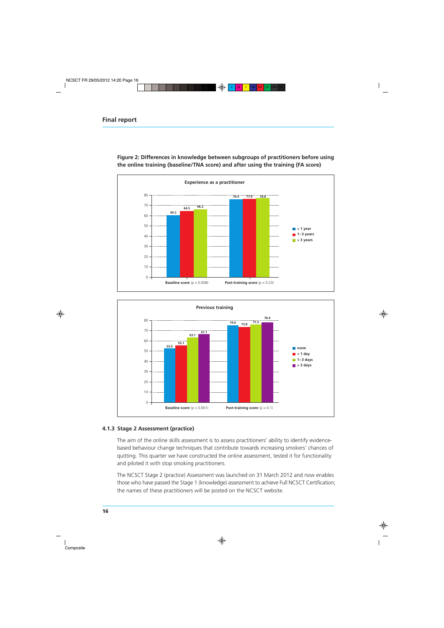

**Figure 2: Differences in knowledge between subgroups of practitioners before using the online training (baseline/TNA score) and after using the training (FA score)**



#### **4.1.3 Stage 2 Assessment (practice)**

The aim of the online skills assessment is to assess practitioners' ability to identify evidencebased behaviour change techniques that contribute towards increasing smokers' chances of quitting. This quarter we have constructed the online assessment, tested it for functionality and piloted it with stop smoking practitioners.

The NCSCT Stage 2 (practice) Assessment was launched on 31 March 2012 and now enables those who have passed the Stage 1 (knowledge) assessment to achieve Full NCSCT Certification; the names of these practitioners will be posted on the NCSCT website.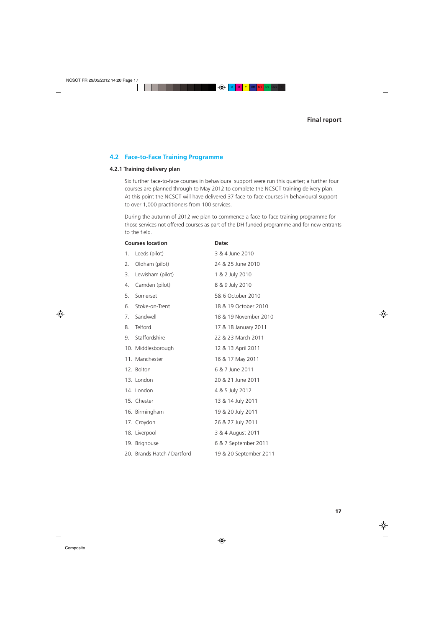# **4.2 Face-to-Face Training Programme**

#### **4.2.1 Training delivery plan**

Six further face-to-face courses in behavioural support were run this quarter; a further four courses are planned through to May 2012 to complete the NCSCT training delivery plan. At this point the NCSCT will have delivered 37 face-to-face courses in behavioural support to over 1,000 practitioners from 100 services.

During the autumn of 2012 we plan to commence a face-to-face training programme for those services not offered courses as part of the DH funded programme and for new entrants to the field.

|    | <b>Courses location</b>     | Date:                  |  |
|----|-----------------------------|------------------------|--|
| 1. | Leeds (pilot)               | 3 & 4 June 2010        |  |
| 2. | Oldham (pilot)              | 24 & 25 June 2010      |  |
| 3. | Lewisham (pilot)            | 1 & 2 July 2010        |  |
| 4. | Camden (pilot)              | 8 & 9 July 2010        |  |
| 5. | Somerset                    | 5& 6 October 2010      |  |
| 6. | Stoke-on-Trent              | 18 & 19 October 2010   |  |
| 7. | Sandwell                    | 18 & 19 November 2010  |  |
| 8. | Telford                     | 17 & 18 January 2011   |  |
| 9. | Staffordshire               | 22 & 23 March 2011     |  |
|    | 10. Middlesborough          | 12 & 13 April 2011     |  |
|    | 11. Manchester              | 16 & 17 May 2011       |  |
|    | 12. Bolton                  | 6 & 7 June 2011        |  |
|    | 13. London                  | 20 & 21 June 2011      |  |
|    | 14. London                  | 4 & 5 July 2012        |  |
|    | 15. Chester                 | 13 & 14 July 2011      |  |
|    | 16. Birmingham              | 19 & 20 July 2011      |  |
|    | 17. Croydon                 | 26 & 27 July 2011      |  |
|    | 18. Liverpool               | 3 & 4 August 2011      |  |
|    | 19. Brighouse               | 6 & 7 September 2011   |  |
|    | 20. Brands Hatch / Dartford | 19 & 20 September 2011 |  |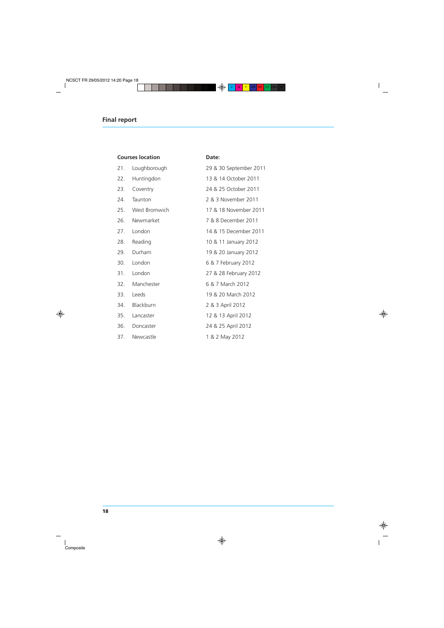|     | <b>Courses location</b> | Date:                  |
|-----|-------------------------|------------------------|
| 21. | Loughborough            | 29 & 30 September 2011 |
| 22. | Huntingdon              | 13 & 14 October 2011   |
| 23. | Coventry                | 24 & 25 October 2011   |
| 24. | Taunton                 | 2 & 3 November 2011    |
| 25. | West Bromwich           | 17 & 18 November 2011  |
| 26. | Newmarket               | 7 & 8 December 2011    |
| 27. | London                  | 14 & 15 December 2011  |
| 28. | Reading                 | 10 & 11 January 2012   |
| 29. | Durham                  | 19 & 20 January 2012   |
| 30. | London                  | 6 & 7 February 2012    |
| 31. | London                  | 27 & 28 February 2012  |
| 32. | Manchester              | 6 & 7 March 2012       |
| 33. | Leeds                   | 19 & 20 March 2012     |
| 34. | Blackburn               | 2 & 3 April 2012       |
| 35. | Lancaster               | 12 & 13 April 2012     |
| 36. | Doncaster               | 24 & 25 April 2012     |
| 37. | Newcastle               | 1 & 2 May 2012         |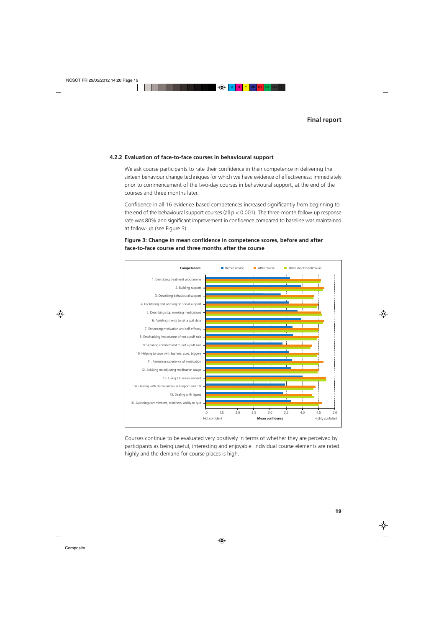#### **4.2.2 Evaluation of face-to-face courses in behavioural support**

We ask course participants to rate their confidence in their competence in delivering the sixteen behaviour change techniques for which we have evidence of effectiveness: immediately prior to commencement of the two-day courses in behavioural support, at the end of the courses and three months later.

Confidence in all 16 evidence-based competences increased significantly from beginning to the end of the behavioural support courses (all  $p < 0.001$ ). The three-month follow-up response rate was 80% and significant improvement in confidence compared to baseline was maintained at follow-up (see Figure 3).

### **Figure 3: Change in mean confidence in competence scores, before and after face-to-face course and three months after the course**



Courses continue to be evaluated very positively in terms of whether they are perceived by participants as being useful, interesting and enjoyable. Individual course elements are rated highly and the demand for course places is high.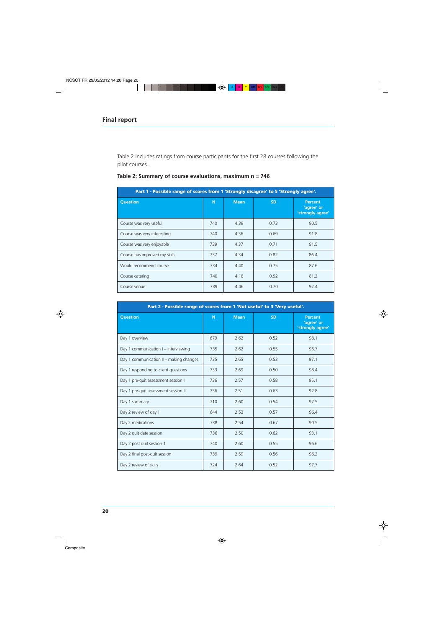Table 2 includes ratings from course participants for the first 28 courses following the pilot courses.

| Part 1 - Possible range of scores from 1 'Strongly disagree' to 5 'Strongly agree'. |     |             |           |                                                  |  |
|-------------------------------------------------------------------------------------|-----|-------------|-----------|--------------------------------------------------|--|
| <b>Question</b>                                                                     | N   | <b>Mean</b> | <b>SD</b> | <b>Percent</b><br>'agree' or<br>'strongly agree' |  |
| Course was very useful                                                              | 740 | 4.39        | 0.73      | 90.5                                             |  |
| Course was very interesting                                                         | 740 | 4.36        | 0.69      | 91.8                                             |  |
| Course was very enjoyable                                                           | 739 | 4.37        | 0.71      | 91.5                                             |  |
| Course has improved my skills                                                       | 737 | 4.34        | 0.82      | 86.4                                             |  |
| Would recommend course                                                              | 734 | 4.40        | 0.75      | 87.6                                             |  |
| Course catering                                                                     | 740 | 4.18        | 0.92      | 81.2                                             |  |
| Course venue                                                                        | 739 | 4.46        | 0.70      | 92.4                                             |  |

# **Table 2: Summary of course evaluations, maximum n = 746**

| Part 2 - Possible range of scores from 1 'Not useful' to 3 'Very useful'. |     |             |           |                                                  |  |
|---------------------------------------------------------------------------|-----|-------------|-----------|--------------------------------------------------|--|
| <b>Question</b>                                                           | N   | <b>Mean</b> | <b>SD</b> | <b>Percent</b><br>'agree' or<br>'strongly agree' |  |
| Day 1 overview                                                            | 679 | 2.62        | 0.52      | 98.1                                             |  |
| Day 1 communication I – interviewing                                      | 735 | 2.62        | 0.55      | 96.7                                             |  |
| Day 1 communication II – making changes                                   | 735 | 2.65        | 0.53      | 97.1                                             |  |
| Day 1 responding to client questions                                      | 733 | 2.69        | 0.50      | 98.4                                             |  |
| Day 1 pre-quit assessment session I                                       | 736 | 2.57        | 0.58      | 95.1                                             |  |
| Day 1 pre-quit assessment session II                                      | 736 | 2.51        | 0.63      | 92.8                                             |  |
| Day 1 summary                                                             | 710 | 2.60        | 0.54      | 97.5                                             |  |
| Day 2 review of day 1                                                     | 644 | 2.53        | 0.57      | 96.4                                             |  |
| Day 2 medications                                                         | 738 | 2.54        | 0.67      | 90.5                                             |  |
| Day 2 quit date session                                                   | 736 | 2.50        | 0.62      | 93.1                                             |  |
| Day 2 post quit session 1                                                 | 740 | 2.60        | 0.55      | 96.6                                             |  |
| Day 2 final post-quit session                                             | 739 | 2.59        | 0.56      | 96.2                                             |  |
| Day 2 review of skills                                                    | 724 | 2.64        | 0.52      | 97.7                                             |  |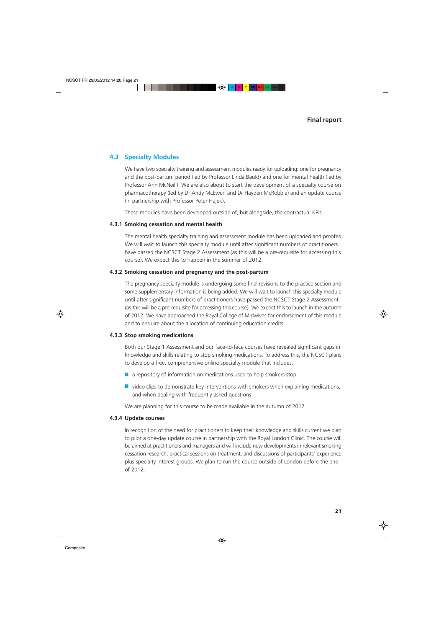# **4.3 Specialty Modules**

We have two specialty training and assessment modules ready for uploading: one for pregnancy and the post-partum period (led by Professor Linda Bauld) and one for mental health (led by Professor Ann McNeill). We are also about to start the development of a specialty course on pharmacotherapy (led by Dr Andy McEwen and Dr Hayden McRobbie) and an update course (in partnership with Professor Peter Hajek).

These modules have been developed outside of, but alongside, the contractual KPIs.

#### **4.3.1 Smoking cessation and mental health**

The mental health specialty training and assessment module has been uploaded and proofed. We will wait to launch this specialty module until after significant numbers of practitioners have passed the NCSCT Stage 2 Assessment (as this will be a pre-requisite for accessing this course). We expect this to happen in the summer of 2012.

#### **4.3.2 Smoking cessation and pregnancy and the post-partum**

The pregnancy specialty module is undergoing some final revisions to the practice section and some supplementary information is being added. We will wait to launch this specialty module until after significant numbers of practitioners have passed the NCSCT Stage 2 Assessment (as this will be a pre-requisite for accessing this course). We expect this to launch in the autumn of 2012. We have approached the Royal College of Midwives for endorsement of this module and to enquire about the allocation of continuing education credits.

#### **4.3.3 Stop smoking medications**

Both our Stage 1 Assessment and our face-to-face courses have revealed significant gaps in knowledge and skills relating to stop smoking medications. To address this, the NCSCT plans to develop a free, comprehensive online specialty module that includes:

- a repository of information on medications used to help smokers stop
- $\blacksquare$  video clips to demonstrate key interventions with smokers when explaining medications, and when dealing with frequently asked questions

We are planning for this course to be made available in the autumn of 2012.

#### **4.3.4 Update courses**

In recognition of the need for practitioners to keep their knowledge and skills current we plan to pilot a one-day update course in partnership with the Royal London Clinic. The course will be aimed at practitioners and managers and will include new developments in relevant smoking cessation research, practical sessions on treatment, and discussions of participants' experience; plus specialty interest groups. We plan to run the course outside of London before the end of 2012.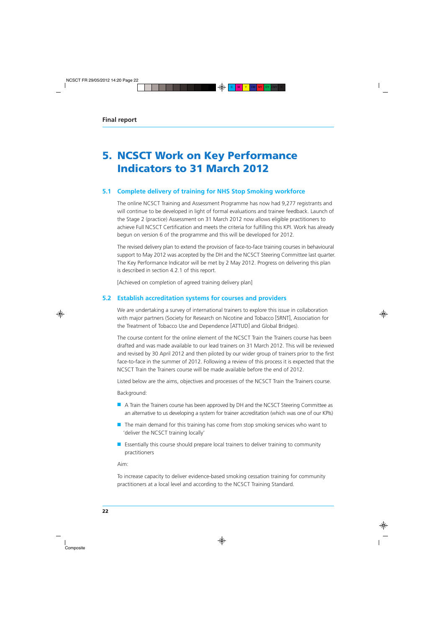# **5. NCSCT Work on Key Performance Indicators to 31 March 2012**

# **5.1 Complete delivery of training for NHS Stop Smoking workforce**

The online NCSCT Training and Assessment Programme has now had 9,277 registrants and will continue to be developed in light of formal evaluations and trainee feedback. Launch of the Stage 2 (practice) Assessment on 31 March 2012 now allows eligible practitioners to achieve Full NCSCT Certification and meets the criteria for fulfilling this KPI. Work has already begun on version 6 of the programme and this will be developed for 2012.

The revised delivery plan to extend the provision of face-to-face training courses in behavioural support to May 2012 was accepted by the DH and the NCSCT Steering Committee last quarter. The Key Performance Indicator will be met by 2 May 2012. Progress on delivering this plan is described in section 4.2.1 of this report.

[Achieved on completion of agreed training delivery plan]

### **5.2 Establish accreditation systems for courses and providers**

We are undertaking a survey of international trainers to explore this issue in collaboration with major partners (Society for Research on Nicotine and Tobacco [SRNT], Association for the Treatment of Tobacco Use and Dependence [ATTUD] and Global Bridges).

The course content for the online element of the NCSCT Train the Trainers course has been drafted and was made available to our lead trainers on 31 March 2012. This will be reviewed and revised by 30 April 2012 and then piloted by our wider group of trainers prior to the first face-to-face in the summer of 2012. Following a review of this process it is expected that the NCSCT Train the Trainers course will be made available before the end of 2012.

Listed below are the aims, objectives and processes of the NCSCT Train the Trainers course.

Background:

- A Train the Trainers course has been approved by DH and the NCSCT Steering Committee as an alternative to us developing a system for trainer accreditation (which was one of our KPIs)
- The main demand for this training has come from stop smoking services who want to 'deliver the NCSCT training locally'
- Essentially this course should prepare local trainers to deliver training to community practitioners

Aim:

To increase capacity to deliver evidence-based smoking cessation training for community practitioners at a local level and according to the NCSCT Training Standard.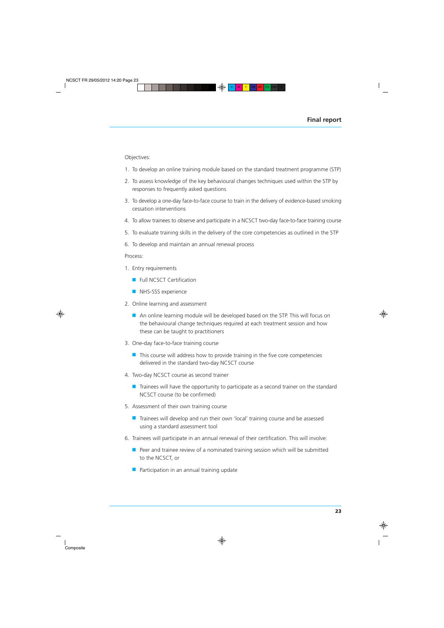Objectives:

- 1. To develop an online training module based on the standard treatment programme (STP)
- 2. To assess knowledge of the key behavioural changes techniques used within the STP by responses to frequently asked questions
- 3. To develop a one-day face-to-face course to train in the delivery of evidence-based smoking cessation interventions
- 4. To allow trainees to observe and participate in a NCSCT two-day face-to-face training course
- 5. To evaluate training skills in the delivery of the core competencies as outlined in the STP
- 6. To develop and maintain an annual renewal process

Process:

- 1. Entry requirements
	- Full NCSCT Certification
	- NHS-SSS experience
- 2. Online learning and assessment
	- An online learning module will be developed based on the STP. This will focus on the behavioural change techniques required at each treatment session and how these can be taught to practitioners
- 3. One-day face-to-face training course
	- This course will address how to provide training in the five core competencies delivered in the standard two-day NCSCT course
- 4. Two-day NCSCT course as second trainer
	- Trainees will have the opportunity to participate as a second trainer on the standard NCSCT course (to be confirmed)
- 5. Assessment of their own training course
	- Trainees will develop and run their own 'local' training course and be assessed using a standard assessment tool
- 6. Trainees will participate in an annual renewal of their certification. This will involve:
	- Peer and trainee review of a nominated training session which will be submitted to the NCSCT, or
	- Participation in an annual training update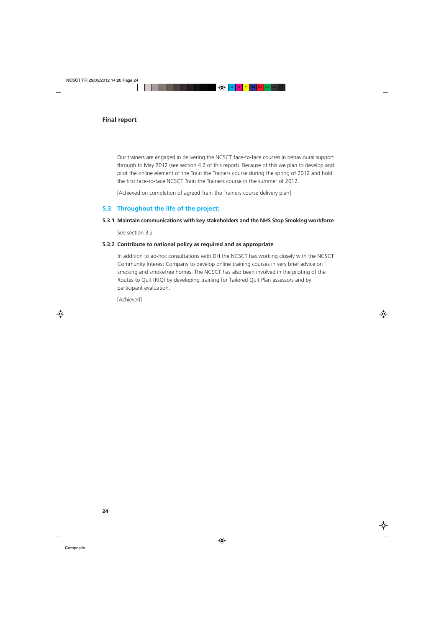Our trainers are engaged in delivering the NCSCT face-to-face courses in behavioural support through to May 2012 (see section 4.2 of this report). Because of this we plan to develop and pilot the online element of the Train the Trainers course during the spring of 2012 and hold the first face-to-face NCSCT Train the Trainers course in the summer of 2012.

[Achieved on completion of agreed Train the Trainers course delivery plan]

# **5.3 Throughout the life of the project:**

#### **5.3.1 Maintain communications with key stakeholders and the NHS Stop Smoking workforce**

See section 3.2

### **5.3.2 Contribute to national policy as required and as appropriate**

In addition to ad-hoc consultations with DH the NCSCT has working closely with the NCSCT Community Interest Company to develop online training courses in very brief advice on smoking and smokefree homes. The NCSCT has also been involved in the piloting of the Routes to Quit (RtQ) by developing training for Tailored Quit Plan assessors and by participant evaluation.

[Achieved]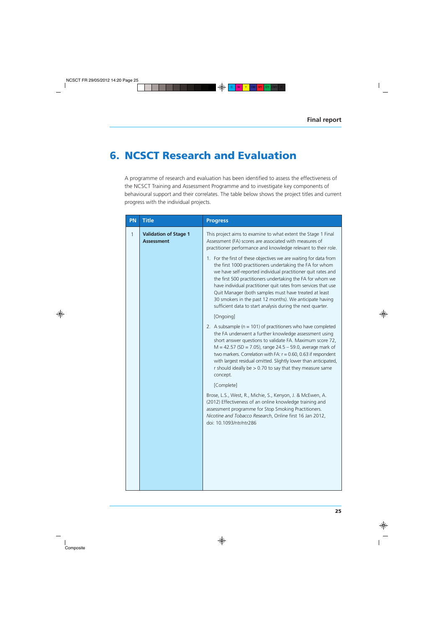# **6. NCSCT Research and Evaluation**

A programme of research and evaluation has been identified to assess the effectiveness of the NCSCT Training and Assessment Programme and to investigate key components of behavioural support and their correlates. The table below shows the project titles and current progress with the individual projects.

| PN | <b>Title</b>                                      | <b>Progress</b>                                                                                                                                                                                                                                                                                                                                                                                                                                                                                                 |
|----|---------------------------------------------------|-----------------------------------------------------------------------------------------------------------------------------------------------------------------------------------------------------------------------------------------------------------------------------------------------------------------------------------------------------------------------------------------------------------------------------------------------------------------------------------------------------------------|
| 1  | <b>Validation of Stage 1</b><br><b>Assessment</b> | This project aims to examine to what extent the Stage 1 Final<br>Assessment (FA) scores are associated with measures of<br>practitioner performance and knowledge relevant to their role.                                                                                                                                                                                                                                                                                                                       |
|    |                                                   | 1. For the first of these objectives we are waiting for data from<br>the first 1000 practitioners undertaking the FA for whom<br>we have self-reported individual practitioner quit rates and<br>the first 500 practitioners undertaking the FA for whom we<br>have individual practitioner quit rates from services that use<br>Quit Manager (both samples must have treated at least<br>30 smokers in the past 12 months). We anticipate having<br>sufficient data to start analysis during the next quarter. |
|    |                                                   | [Ongoing]                                                                                                                                                                                                                                                                                                                                                                                                                                                                                                       |
|    |                                                   | 2. A subsample ( $n = 101$ ) of practitioners who have completed<br>the FA underwent a further knowledge assessment using<br>short answer questions to validate FA. Maximum score 72,<br>$M = 42.57$ (SD = 7.05), range 24.5 – 59.0, average mark of<br>two markers. Correlation with FA: $r = 0.60$ , 0.63 if respondent<br>with largest residual omitted. Slightly lower than anticipated,<br>r should ideally be $> 0.70$ to say that they measure same<br>concept.                                          |
|    |                                                   | [Complete]                                                                                                                                                                                                                                                                                                                                                                                                                                                                                                      |
|    |                                                   | Brose, L.S., West, R., Michie, S., Kenyon, J. & McEwen, A.<br>(2012) Effectiveness of an online knowledge training and<br>assessment programme for Stop Smoking Practitioners.<br>Nicotine and Tobacco Research, Online first 16 Jan 2012,<br>doi: 10.1093/ntr/ntr286                                                                                                                                                                                                                                           |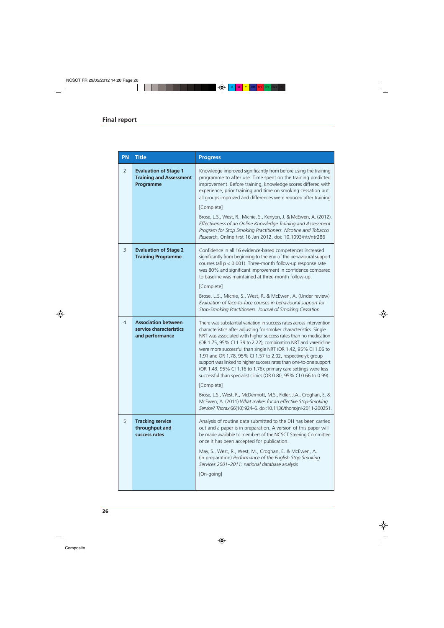| PN             | <b>Title</b>                                                                | <b>Progress</b>                                                                                                                                                                                                                                                                                                                                                                                                                                                                                                                                                                                                                                                                                                                                                                                                                                        |  |  |
|----------------|-----------------------------------------------------------------------------|--------------------------------------------------------------------------------------------------------------------------------------------------------------------------------------------------------------------------------------------------------------------------------------------------------------------------------------------------------------------------------------------------------------------------------------------------------------------------------------------------------------------------------------------------------------------------------------------------------------------------------------------------------------------------------------------------------------------------------------------------------------------------------------------------------------------------------------------------------|--|--|
| $\overline{2}$ | <b>Evaluation of Stage 1</b><br><b>Training and Assessment</b><br>Programme | Knowledge improved significantly from before using the training<br>programme to after use. Time spent on the training predicted<br>improvement. Before training, knowledge scores differed with<br>experience, prior training and time on smoking cessation but<br>all groups improved and differences were reduced after training.<br>[Complete]<br>Brose, L.S., West, R., Michie, S., Kenyon, J. & McEwen, A. (2012).<br>Effectiveness of an Online Knowledge Training and Assessment<br>Program for Stop Smoking Practitioners. Nicotine and Tobacco<br>Research, Online first 16 Jan 2012, doi: 10.1093/ntr/ntr286                                                                                                                                                                                                                                 |  |  |
| 3              | <b>Evaluation of Stage 2</b><br><b>Training Programme</b>                   | Confidence in all 16 evidence-based competences increased<br>significantly from beginning to the end of the behavioural support<br>courses (all $p < 0.001$ ). Three-month follow-up response rate<br>was 80% and significant improvement in confidence compared<br>to baseline was maintained at three-month follow-up.<br>[Complete]<br>Brose, L.S., Michie, S., West, R. & McEwen, A. (Under review)<br>Evaluation of face-to-face courses in behavioural support for<br>Stop-Smoking Practitioners. Journal of Smoking Cessation                                                                                                                                                                                                                                                                                                                   |  |  |
| 4              | <b>Association between</b><br>service characteristics<br>and performance    | There was substantial variation in success rates across intervention<br>characteristics after adjusting for smoker characteristics. Single<br>NRT was associated with higher success rates than no medication<br>(OR 1.75, 95% CI 1.39 to 2.22); combination NRT and varenicline<br>were more successful than single NRT (OR 1.42, 95% CI 1.06 to<br>1.91 and OR 1.78, 95% CI 1.57 to 2.02, respectively); group<br>support was linked to higher success rates than one-to-one support<br>(OR 1.43, 95% CI 1.16 to 1.76); primary care settings were less<br>successful than specialist clinics (OR 0.80, 95% CI 0.66 to 0.99).<br>[Complete]<br>Brose, L.S., West, R., McDermott, M.S., Fidler, J.A., Croghan, E. &<br>McEwen, A. (2011) What makes for an effective Stop-Smoking<br>Service? Thorax 66(10):924-6. doi:10.1136/thoraxjnl-2011-200251. |  |  |
| 5              | <b>Tracking service</b><br>throughput and<br>success rates                  | Analysis of routine data submitted to the DH has been carried<br>out and a paper is in preparation. A version of this paper will<br>be made available to members of the NCSCT Steering Committee<br>once it has been accepted for publication.<br>May, S., West, R., West, M., Croghan, E. & McEwen, A.<br>(In preparation) Performance of the English Stop Smoking<br>Services 2001-2011: national database analysis<br>[On-going]                                                                                                                                                                                                                                                                                                                                                                                                                    |  |  |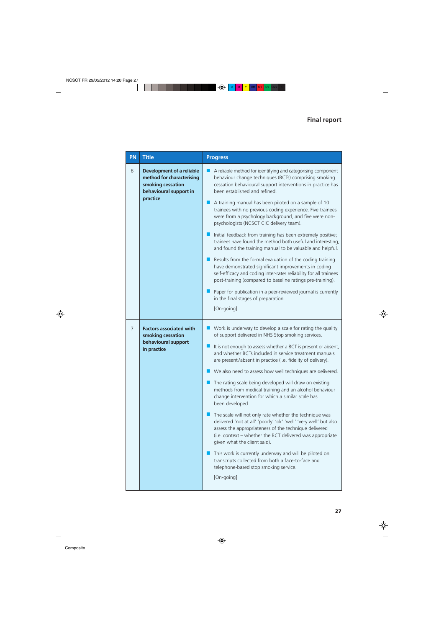| PN             | <b>Title</b>                                                                                                             | <b>Progress</b>                                                                                                                                                                                                                                                                                                                                                                                                                                                                                                                                                                                                                                                                                                                                                                                                                                                                                                                                                                                                                 |  |
|----------------|--------------------------------------------------------------------------------------------------------------------------|---------------------------------------------------------------------------------------------------------------------------------------------------------------------------------------------------------------------------------------------------------------------------------------------------------------------------------------------------------------------------------------------------------------------------------------------------------------------------------------------------------------------------------------------------------------------------------------------------------------------------------------------------------------------------------------------------------------------------------------------------------------------------------------------------------------------------------------------------------------------------------------------------------------------------------------------------------------------------------------------------------------------------------|--|
| 6              | <b>Development of a reliable</b><br>method for characterising<br>smoking cessation<br>behavioural support in<br>practice | A reliable method for identifying and categorising component<br>behaviour change techniques (BCTs) comprising smoking<br>cessation behavioural support interventions in practice has<br>been established and refined.<br>A training manual has been piloted on a sample of 10<br>trainees with no previous coding experience. Five trainees<br>were from a psychology background, and five were non-<br>psychologists (NCSCT CIC delivery team).<br>Initial feedback from training has been extremely positive;<br>trainees have found the method both useful and interesting,<br>and found the training manual to be valuable and helpful.<br>Results from the formal evaluation of the coding training<br>have demonstrated significant improvements in coding<br>self-efficacy and coding inter-rater reliability for all trainees<br>post-training (compared to baseline ratings pre-training).<br>Paper for publication in a peer-reviewed journal is currently<br>in the final stages of preparation.                     |  |
|                |                                                                                                                          | [On-going]                                                                                                                                                                                                                                                                                                                                                                                                                                                                                                                                                                                                                                                                                                                                                                                                                                                                                                                                                                                                                      |  |
| $\overline{7}$ | <b>Factors associated with</b><br>smoking cessation<br>behavioural support<br>in practice                                | Work is underway to develop a scale for rating the quality<br>of support delivered in NHS Stop smoking services.<br>It is not enough to assess whether a BCT is present or absent,<br>and whether BCTs included in service treatment manuals<br>are present/absent in practice (i.e. fidelity of delivery).<br>We also need to assess how well techniques are delivered.<br>The rating scale being developed will draw on existing<br>methods from medical training and an alcohol behaviour<br>change intervention for which a similar scale has<br>been developed.<br>The scale will not only rate whether the technique was<br>delivered 'not at all' 'poorly' 'ok' 'well' 'very well' but also<br>assess the appropriateness of the technique delivered<br>(i.e. context - whether the BCT delivered was appropriate<br>given what the client said).<br>This work is currently underway and will be piloted on<br>transcripts collected from both a face-to-face and<br>telephone-based stop smoking service.<br>[On-going] |  |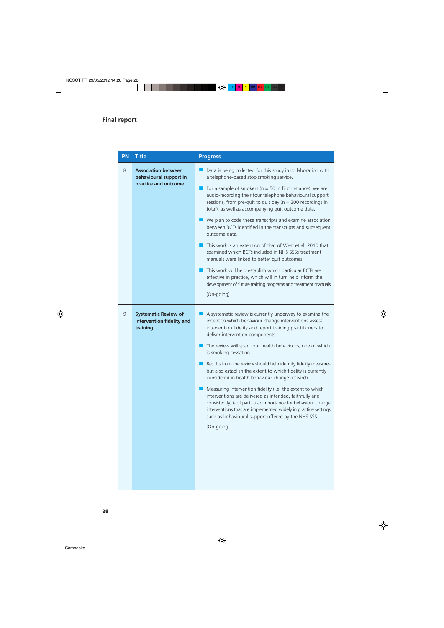| PN | <b>Title</b>                                                                 | <b>Progress</b>                                                                                                                                                                                                                                                                                                                                                                                                                                                                                                                                                                                                                                                                                                                                                                                                                                                                    |
|----|------------------------------------------------------------------------------|------------------------------------------------------------------------------------------------------------------------------------------------------------------------------------------------------------------------------------------------------------------------------------------------------------------------------------------------------------------------------------------------------------------------------------------------------------------------------------------------------------------------------------------------------------------------------------------------------------------------------------------------------------------------------------------------------------------------------------------------------------------------------------------------------------------------------------------------------------------------------------|
| 8  | <b>Association between</b><br>behavioural support in<br>practice and outcome | Data is being collected for this study in collaboration with<br>a telephone-based stop smoking service.<br>For a sample of smokers ( $n = 50$ in first instance), we are<br>audio-recording their four telephone behavioural support<br>sessions, from pre-quit to quit day ( $n = 200$ recordings in<br>total), as well as accompanying quit outcome data.<br>We plan to code these transcripts and examine association<br>between BCTs identified in the transcripts and subsequent<br>outcome data.<br>This work is an extension of that of West et al. 2010 that<br>examined which BCTs included in NHS SSSs treatment<br>manuals were linked to better quit outcomes.<br>This work will help establish which particular BCTs are<br>effective in practice, which will in turn help inform the<br>development of future training programs and treatment manuals.<br>[On-going] |
| 9  | <b>Systematic Review of</b><br>intervention fidelity and<br>training         | A systematic review is currently underway to examine the<br>extent to which behaviour change interventions assess<br>intervention fidelity and report training practitioners to<br>deliver intervention components.<br>The review will span four health behaviours, one of which<br>is smoking cessation.<br>Results from the review should help identify fidelity measures,<br>but also establish the extent to which fidelity is currently<br>considered in health behaviour change research.<br>Measuring intervention fidelity (i.e. the extent to which<br>interventions are delivered as intended, faithfully and<br>consistently) is of particular importance for behaviour change<br>interventions that are implemented widely in practice settings,<br>such as behavioural support offered by the NHS SSS.<br>[On-going]                                                  |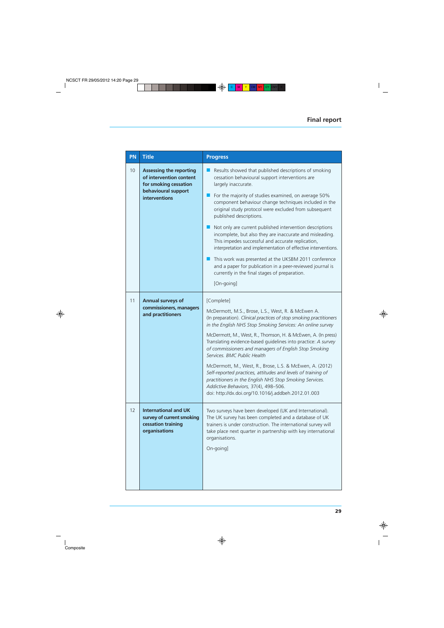| PN | <b>Title</b>                                                                                                               | <b>Progress</b>                                                                                                                                                                                                                                                                                                                                                                                                                                                                                                                                                                                                                                                                                                                                          |
|----|----------------------------------------------------------------------------------------------------------------------------|----------------------------------------------------------------------------------------------------------------------------------------------------------------------------------------------------------------------------------------------------------------------------------------------------------------------------------------------------------------------------------------------------------------------------------------------------------------------------------------------------------------------------------------------------------------------------------------------------------------------------------------------------------------------------------------------------------------------------------------------------------|
| 10 | <b>Assessing the reporting</b><br>of intervention content<br>for smoking cessation<br>behavioural support<br>interventions | Results showed that published descriptions of smoking<br>cessation behavioural support interventions are<br>largely inaccurate.<br>For the majority of studies examined, on average 50%<br>component behaviour change techniques included in the<br>original study protocol were excluded from subsequent<br>published descriptions.<br>Not only are current published intervention descriptions<br>incomplete, but also they are inaccurate and misleading.<br>This impedes successful and accurate replication,<br>interpretation and implementation of effective interventions.<br>This work was presented at the UKSBM 2011 conference<br>and a paper for publication in a peer-reviewed journal is<br>currently in the final stages of preparation. |
|    |                                                                                                                            | [On-going]                                                                                                                                                                                                                                                                                                                                                                                                                                                                                                                                                                                                                                                                                                                                               |
| 11 | <b>Annual surveys of</b><br>commissioners, managers<br>and practitioners                                                   | [Complete]<br>McDermott, M.S., Brose, L.S., West, R. & McEwen A.<br>(In preparation). Clinical practices of stop smoking practitioners<br>in the English NHS Stop Smoking Services: An online survey<br>McDermott, M., West, R., Thomson, H. & McEwen, A. (In press)<br>Translating evidence-based guidelines into practice: A survey<br>of commissioners and managers of English Stop Smoking<br>Services. BMC Public Health<br>McDermott, M., West, R., Brose, L.S. & McEwen, A. (2012)<br>Self-reported practices, attitudes and levels of training of<br>practitioners in the English NHS Stop Smoking Services.<br>Addictive Behaviors, 37(4), 498-506.<br>doi: http://dx.doi.org/10.1016/j.addbeh.2012.01.003                                      |
| 12 | <b>International and UK</b><br>survey of current smoking<br>cessation training<br>organisations                            | Two surveys have been developed (UK and International).<br>The UK survey has been completed and a database of UK<br>trainers is under construction. The international survey will<br>take place next quarter in partnership with key international<br>organisations.<br>On-going]                                                                                                                                                                                                                                                                                                                                                                                                                                                                        |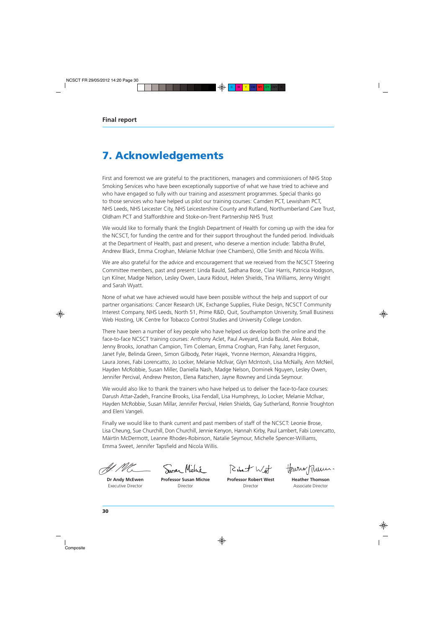# **7. Acknowledgements**

First and foremost we are grateful to the practitioners, managers and commissioners of NHS Stop Smoking Services who have been exceptionally supportive of what we have tried to achieve and who have engaged so fully with our training and assessment programmes. Special thanks go to those services who have helped us pilot our training courses: Camden PCT, Lewisham PCT, NHS Leeds, NHS Leicester City, NHS Leicestershire County and Rutland, Northumberland Care Trust, Oldham PCT and Staffordshire and Stoke-on-Trent Partnership NHS Trust

We would like to formally thank the English Department of Health for coming up with the idea for the NCSCT, for funding the centre and for their support throughout the funded period. Individuals at the Department of Health, past and present, who deserve a mention include: Tabitha Brufel, Andrew Black, Emma Croghan, Melanie McIlvar (nee Chambers), Ollie Smith and Nicola Willis.

We are also grateful for the advice and encouragement that we received from the NCSCT Steering Committee members, past and present: Linda Bauld, Sadhana Bose, Clair Harris, Patricia Hodgson, Lyn Kilner, Madge Nelson, Lesley Owen, Laura Ridout, Helen Shields, Tina Williams, Jenny Wright and Sarah Wyatt.

None of what we have achieved would have been possible without the help and support of our partner organisations: Cancer Research UK, Exchange Supplies, Fluke Design, NCSCT Community Interest Company, NHS Leeds, North 51, Prime R&D, Quit, Southampton University, Small Business Web Hosting, UK Centre for Tobacco Control Studies and University College London.

There have been a number of key people who have helped us develop both the online and the face-to-face NCSCT training courses: Anthony Aclet, Paul Aveyard, Linda Bauld, Alex Bobak, Jenny Brooks, Jonathan Campion, Tim Coleman, Emma Croghan, Fran Fahy, Janet Ferguson, Janet Fyle, Belinda Green, Simon Gilbody, Peter Hajek, Yvonne Hermon, Alexandra Higgins, Laura Jones, Fabi Lorencatto, Jo Locker, Melanie McIlvar, Glyn McIntosh, Lisa McNally, Ann McNeil, Hayden McRobbie, Susan Miller, Daniella Nash, Madge Nelson, Dominek Nguyen, Lesley Owen, Jennifer Percival, Andrew Preston, Elena Ratschen, Jayne Rowney and Linda Seymour.

We would also like to thank the trainers who have helped us to deliver the face-to-face courses: Darush Attar-Zadeh, Francine Brooks, Lisa Fendall, Lisa Humphreys, Jo Locker, Melanie McIlvar, Hayden McRobbie, Susan Millar, Jennifer Percival, Helen Shields, Gay Sutherland, Ronnie Troughton and Eleni Vangeli.

Finally we would like to thank current and past members of staff of the NCSCT: Leonie Brose, Lisa Cheung, Sue Churchill, Don Churchill, Jennie Kenyon, Hannah Kirby, Paul Lambert, Fabi Lorencatto, Máirtín McDermott, Leanne Rhodes-Robinson, Natalie Seymour, Michelle Spencer-Williams, Emma Sweet, Jennifer Tapsfield and Nicola Willis.

**Dr Andy McEwen** Executive Director

noar Mich **Professor Susan Michie** Director

Robert With **Professor Robert West**

Director

Heurin Mum.

**Heather Thomson** Associate Director